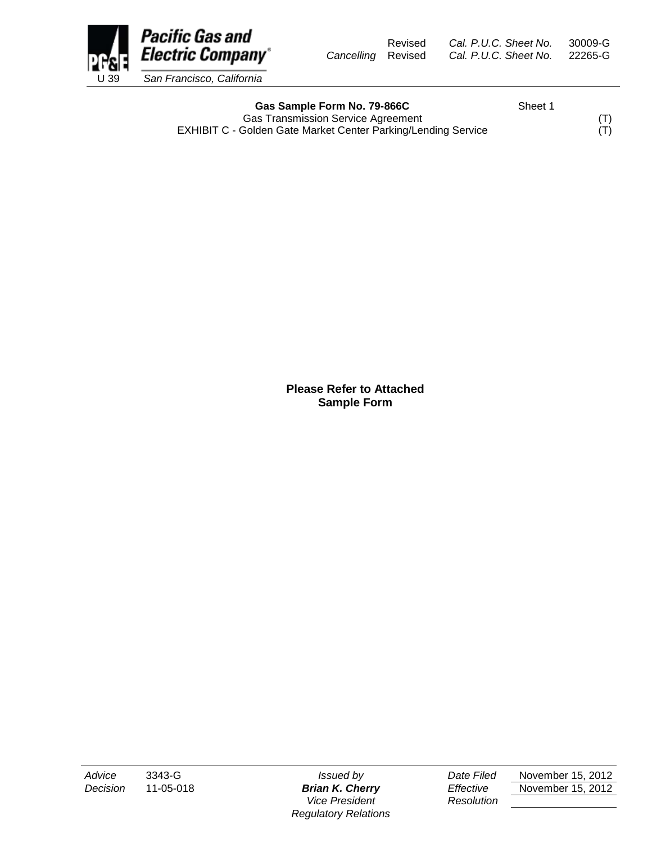

Gas Sample Form No. 79-866C<br>
Sheet 1 Gas Transmission Service Agreement<br>
Golden Gate Market Center Parking/Lending Service (T) EXHIBIT C - Golden Gate Market Center Parking/Lending Service

**Please Refer to Attached Sample Form**

*Vice President Resolution Regulatory Relations*

*Advice* 3343-G *Issued by Date Filed* November 15, 2012 *Decision* 11-05-018 *Brian K. Cherry Effective* November 15, 2012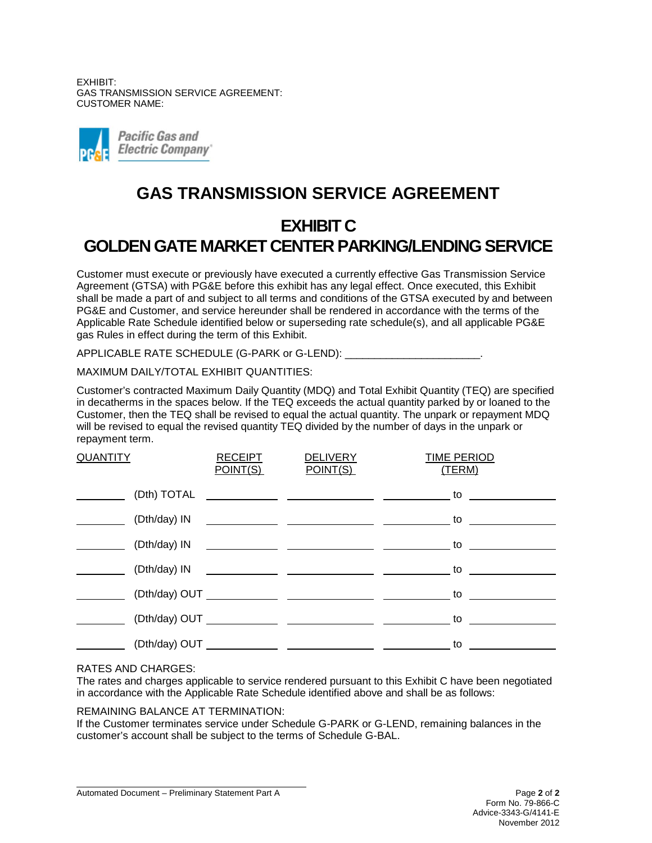EXHIBIT: GAS TRANSMISSION SERVICE AGREEMENT: CUSTOMER NAME:



# **GAS TRANSMISSION SERVICE AGREEMENT**

# **EXHIBIT C GOLDEN GATE MARKET CENTER PARKING/LENDING SERVICE**

Customer must execute or previously have executed a currently effective Gas Transmission Service Agreement (GTSA) with PG&E before this exhibit has any legal effect. Once executed, this Exhibit shall be made a part of and subject to all terms and conditions of the GTSA executed by and between PG&E and Customer, and service hereunder shall be rendered in accordance with the terms of the Applicable Rate Schedule identified below or superseding rate schedule(s), and all applicable PG&E gas Rules in effect during the term of this Exhibit.

APPLICABLE RATE SCHEDULE (G-PARK or G-LEND):

MAXIMUM DAILY/TOTAL EXHIBIT QUANTITIES:

Customer's contracted Maximum Daily Quantity (MDQ) and Total Exhibit Quantity (TEQ) are specified in decatherms in the spaces below. If the TEQ exceeds the actual quantity parked by or loaned to the Customer, then the TEQ shall be revised to equal the actual quantity. The unpark or repayment MDQ will be revised to equal the revised quantity TEQ divided by the number of days in the unpark or repayment term.

| <b>QUANTITY</b> |               | <b>RECEIPT</b><br><u>POINT(S)</u> | <b>DELIVERY</b><br>POINT(S) | <b>TIME PERIOD</b><br>(TERM)                                                                                                                                                                                                   |
|-----------------|---------------|-----------------------------------|-----------------------------|--------------------------------------------------------------------------------------------------------------------------------------------------------------------------------------------------------------------------------|
|                 | (Dth) TOTAL   |                                   |                             | to to                                                                                                                                                                                                                          |
|                 | (Dth/day) IN  |                                   |                             | to the contract of the contract of the contract of the contract of the contract of the contract of the contract of the contract of the contract of the contract of the contract of the contract of the contract of the contrac |
|                 | (Dth/day) IN  |                                   |                             | to the contract of the contract of the contract of the contract of the contract of the contract of the contract of the contract of the contract of the contract of the contract of the contract of the contract of the contrac |
|                 |               |                                   | $(Dth/day)$ IN              | to the contract of the contract of the contract of the contract of the contract of the contract of the contract of the contract of the contract of the contract of the contract of the contract of the contract of the contrac |
|                 |               |                                   |                             |                                                                                                                                                                                                                                |
|                 | (Dth/day) OUT |                                   |                             | to                                                                                                                                                                                                                             |
|                 |               |                                   |                             | to the contract of the contract of the contract of the contract of the contract of the contract of the contract of the contract of the contract of the contract of the contract of the contract of the contract of the contrac |

## RATES AND CHARGES:

The rates and charges applicable to service rendered pursuant to this Exhibit C have been negotiated in accordance with the Applicable Rate Schedule identified above and shall be as follows:

#### REMAINING BALANCE AT TERMINATION:

If the Customer terminates service under Schedule G-PARK or G-LEND, remaining balances in the customer's account shall be subject to the terms of Schedule G-BAL.

Automated Document – Preliminary Statement Part A Page **2** of **2**